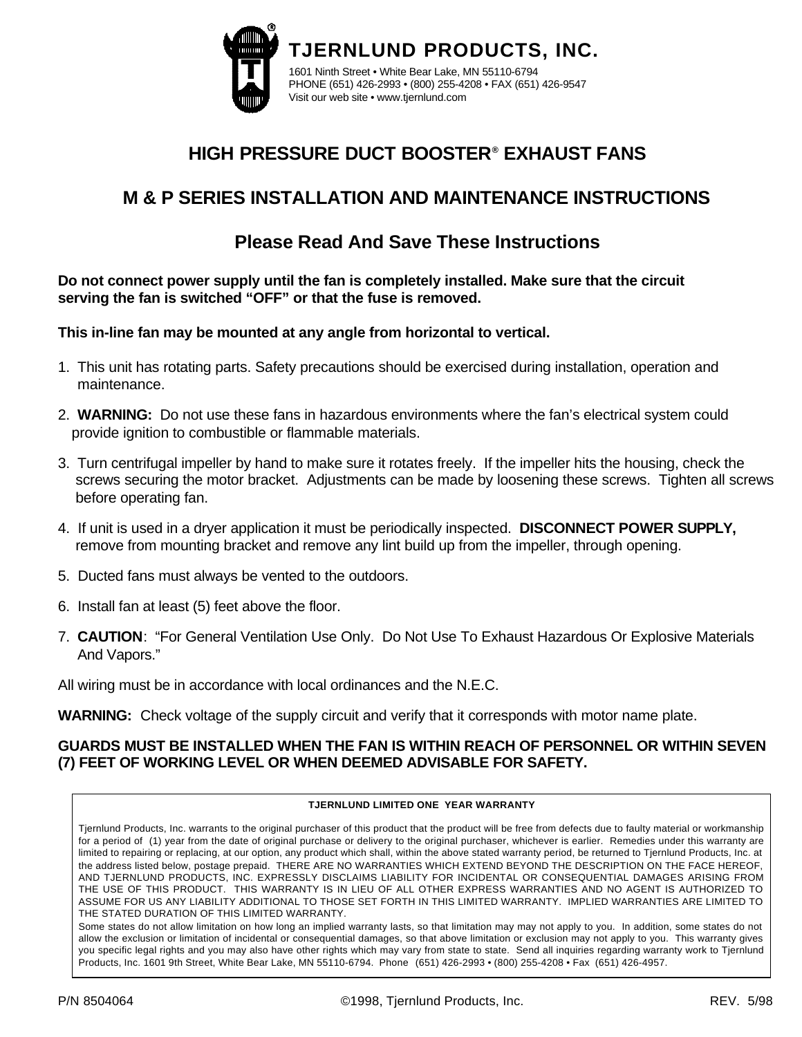

# **HIGH PRESSURE DUCT BOOSTER® EXHAUST FANS**

## **M & P SERIES INSTALLATION AND MAINTENANCE INSTRUCTIONS**

### **Please Read And Save These Instructions**

**Do not connect power supply until the fan is completely installed. Make sure that the circuit serving the fan is switched "OFF" or that the fuse is removed.**

**This in-line fan may be mounted at any angle from horizontal to vertical.**

- 1. This unit has rotating parts. Safety precautions should be exercised during installation, operation and maintenance.
- 2. **WARNING:** Do not use these fans in hazardous environments where the fan's electrical system could provide ignition to combustible or flammable materials.
- 3. Turn centrifugal impeller by hand to make sure it rotates freely. If the impeller hits the housing, check the screws securing the motor bracket. Adjustments can be made by loosening these screws. Tighten all screws before operating fan.
- 4. If unit is used in a dryer application it must be periodically inspected. **DISCONNECT POWER SUPPLY,**  remove from mounting bracket and remove any lint build up from the impeller, through opening.
- 5. Ducted fans must always be vented to the outdoors.
- 6. Install fan at least (5) feet above the floor.
- 7. **CAUTION**: "For General Ventilation Use Only. Do Not Use To Exhaust Hazardous Or Explosive Materials And Vapors."

All wiring must be in accordance with local ordinances and the N.E.C.

**WARNING:** Check voltage of the supply circuit and verify that it corresponds with motor name plate.

### **GUARDS MUST BE INSTALLED WHEN THE FAN IS WITHIN REACH OF PERSONNEL OR WITHIN SEVEN (7) FEET OF WORKING LEVEL OR WHEN DEEMED ADVISABLE FOR SAFETY.**

#### **TJERNLUND LIMITED ONE YEAR WARRANTY**

Tjernlund Products, Inc. warrants to the original purchaser of this product that the product will be free from defects due to faulty material or workmanship for a period of (1) year from the date of original purchase or delivery to the original purchaser, whichever is earlier. Remedies under this warranty are limited to repairing or replacing, at our option, any product which shall, within the above stated warranty period, be returned to Tjernlund Products, Inc. at the address listed below, postage prepaid. THERE ARE NO WARRANTIES WHICH EXTEND BEYOND THE DESCRIPTION ON THE FACE HEREOF, AND TJERNLUND PRODUCTS, INC. EXPRESSLY DISCLAIMS LIABILITY FOR INCIDENTAL OR CONSEQUENTIAL DAMAGES ARISING FROM THE USE OF THIS PRODUCT. THIS WARRANTY IS IN LIEU OF ALL OTHER EXPRESS WARRANTIES AND NO AGENT IS AUTHORIZED TO ASSUME FOR US ANY LIABILITY ADDITIONAL TO THOSE SET FORTH IN THIS LIMITED WARRANTY. IMPLIED WARRANTIES ARE LIMITED TO THE STATED DURATION OF THIS LIMITED WARRANTY.

Some states do not allow limitation on how long an implied warranty lasts, so that limitation may may not apply to you. In addition, some states do not allow the exclusion or limitation of incidental or consequential damages, so that above limitation or exclusion may not apply to you. This warranty gives you specific legal rights and you may also have other rights which may vary from state to state. Send all inquiries regarding warranty work to Tjernlund Products, Inc. 1601 9th Street, White Bear Lake, MN 55110-6794. Phone (651) 426-2993 • (800) 255-4208 • Fax (651) 426-4957.